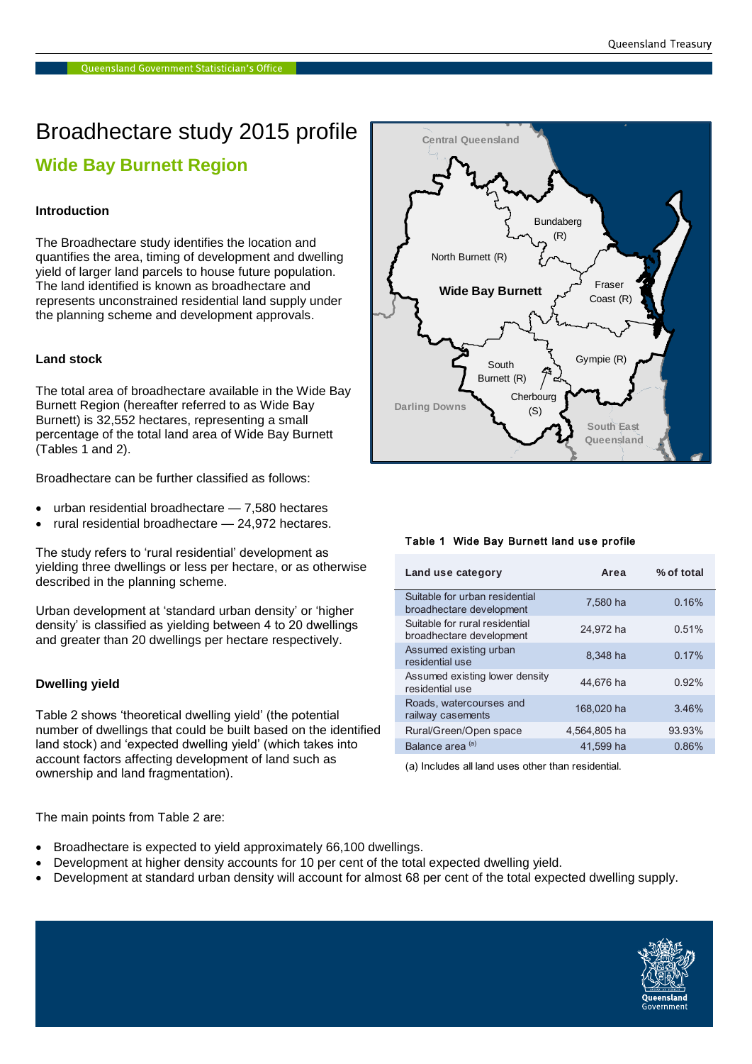# Broadhectare study 2015 profile **Wide Bay Burnett Region**

# **Introduction**

The Broadhectare study identifies the location and quantifies the area, timing of development and dwelling yield of larger land parcels to house future population. The land identified is known as broadhectare and represents unconstrained residential land supply under the planning scheme and development approvals.

# **Land stock**

The total area of broadhectare available in the Wide Bay Burnett Region (hereafter referred to as Wide Bay Burnett) is 32,552 hectares, representing a small percentage of the total land area of Wide Bay Burnett (Tables 1 and 2).

Broadhectare can be further classified as follows:

- urban residential broadhectare 7,580 hectares
- rural residential broadhectare 24,972 hectares.

The study refers to 'rural residential' development as yielding three dwellings or less per hectare, or as otherwise described in the planning scheme.

Urban development at 'standard urban density' or 'higher density' is classified as yielding between 4 to 20 dwellings and greater than 20 dwellings per hectare respectively.

# **Dwelling yield**

Table 2 shows 'theoretical dwelling yield' (the potential number of dwellings that could be built based on the identified land stock) and 'expected dwelling yield' (which takes into account factors affecting development of land such as ownership and land fragmentation).

The main points from Table 2 are:

- Broadhectare is expected to yield approximately 66,100 dwellings.
- Development at higher density accounts for 10 per cent of the total expected dwelling yield.
- Development at standard urban density will account for almost 68 per cent of the total expected dwelling supply.



#### Table 1 Wide Bay Burnett land use profile

| Land use category                                          | Area         | % of total |
|------------------------------------------------------------|--------------|------------|
| Suitable for urban residential<br>broadhectare development | 7,580 ha     | 0.16%      |
| Suitable for rural residential<br>broadhectare development | 24.972 ha    | 0.51%      |
| Assumed existing urban<br>residential use                  | 8.348 ha     | 0.17%      |
| Assumed existing lower density<br>residential use          | 44.676 ha    | 0.92%      |
| Roads, watercourses and<br>railway casements               | 168,020 ha   | 3.46%      |
| Rural/Green/Open space                                     | 4,564,805 ha | 93.93%     |
| Balance area <sup>(a)</sup>                                | 41.599 ha    | 0.86%      |

(a) Includes all land uses other than residential.

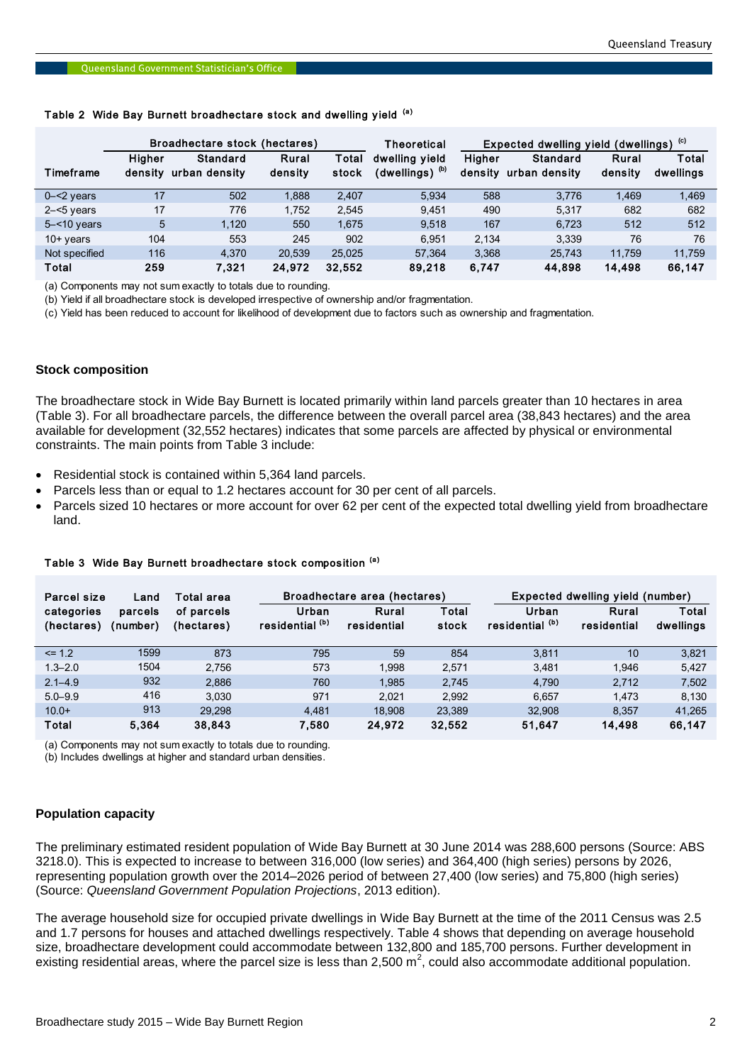|                | Broadhectare stock (hectares) |                 |         | Theoretical | (c)<br>Expected dwelling yield (dwellings) |               |               |         |           |
|----------------|-------------------------------|-----------------|---------|-------------|--------------------------------------------|---------------|---------------|---------|-----------|
|                | Higher                        | <b>Standard</b> | Rural   | Total       | dwelling yield                             | <b>Higher</b> | Standard      | Rural   | Total     |
| Timeframe      | density                       | urban density   | density | stock       | (dwellings) <sup>(b)</sup>                 | density       | urban density | density | dwellings |
| $0 - 2$ years  | 17                            | 502             | 1,888   | 2.407       | 5.934                                      | 588           | 3.776         | 1,469   | 1,469     |
| $2 - 5$ years  | 17                            | 776             | 1.752   | 2.545       | 9.451                                      | 490           | 5.317         | 682     | 682       |
| $5 - 10$ years | 5                             | 1.120           | 550     | 1.675       | 9.518                                      | 167           | 6.723         | 512     | 512       |
| $10+$ years    | 104                           | 553             | 245     | 902         | 6.951                                      | 2.134         | 3.339         | 76      | 76        |
| Not specified  | 116                           | 4.370           | 20.539  | 25.025      | 57,364                                     | 3,368         | 25.743        | 11.759  | 11,759    |
| Total          | 259                           | 7.321           | 24.972  | 32,552      | 89,218                                     | 6.747         | 44,898        | 14.498  | 66,147    |

# Queensland Government Statistician's Office<br>Table 2 Wide Bay Burnett broadhectare stock and dwelling yield <sup>(a)</sup>

(a) Components may not sum exactly to totals due to rounding.

(b) Yield if all broadhectare stock is developed irrespective of ownership and/or fragmentation.

(c) Yield has been reduced to account for likelihood of development due to factors such as ownership and fragmentation.

### **Stock composition**

The broadhectare stock in Wide Bay Burnett is located primarily within land parcels greater than 10 hectares in area (Table 3). For all broadhectare parcels, the difference between the overall parcel area (38,843 hectares) and the area available for development (32,552 hectares) indicates that some parcels are affected by physical or environmental constraints. The main points from Table 3 include:

- Residential stock is contained within 5,364 land parcels.
- Parcels less than or equal to 1.2 hectares account for 30 per cent of all parcels.
- Parcels sized 10 hectares or more account for over 62 per cent of the expected total dwelling yield from broadhectare land.

| Parcel size<br>Land      |                     | Total area               |                                     | Broadhectare area (hectares) |                |                                     | Expected dwelling yield (number) |                    |  |
|--------------------------|---------------------|--------------------------|-------------------------------------|------------------------------|----------------|-------------------------------------|----------------------------------|--------------------|--|
| categories<br>(hectares) | parcels<br>(number) | of parcels<br>(hectares) | Urban<br>residential <sup>(b)</sup> | Rural<br>residential         | Total<br>stock | Urban<br>residential <sup>(b)</sup> | Rural<br>residential             | Total<br>dwellings |  |
| $\leq$ 1.2               | 1599                | 873                      | 795                                 | 59                           | 854            | 3.811                               | 10                               | 3.821              |  |
| $1.3 - 2.0$              | 1504                | 2,756                    | 573                                 | 1.998                        | 2.571          | 3.481                               | 1.946                            | 5,427              |  |
| $2.1 - 4.9$              | 932                 | 2,886                    | 760                                 | 1.985                        | 2.745          | 4.790                               | 2.712                            | 7,502              |  |
| $5.0 - 9.9$              | 416                 | 3.030                    | 971                                 | 2.021                        | 2.992          | 6.657                               | 1.473                            | 8,130              |  |
| $10.0+$                  | 913                 | 29.298                   | 4.481                               | 18.908                       | 23.389         | 32.908                              | 8.357                            | 41.265             |  |
| Total                    | 5.364               | 38,843                   | 7,580                               | 24,972                       | 32,552         | 51,647                              | 14.498                           | 66,147             |  |

#### Table 3 Wide Bay Burnett broadhectare stock composition (a)

(a) Components may not sum exactly to totals due to rounding.

(b) Includes dwellings at higher and standard urban densities.

#### **Population capacity**

The preliminary estimated resident population of Wide Bay Burnett at 30 June 2014 was 288,600 persons (Source: ABS 3218.0). This is expected to increase to between 316,000 (low series) and 364,400 (high series) persons by 2026, representing population growth over the 2014–2026 period of between 27,400 (low series) and 75,800 (high series) (Source: *Queensland Government Population Projections*, 2013 edition).

The average household size for occupied private dwellings in Wide Bay Burnett at the time of the 2011 Census was 2.5 and 1.7 persons for houses and attached dwellings respectively. Table 4 shows that depending on average household size, broadhectare development could accommodate between 132,800 and 185,700 persons. Further development in existing residential areas, where the parcel size is less than 2,500 m<sup>2</sup>, could also accommodate additional population.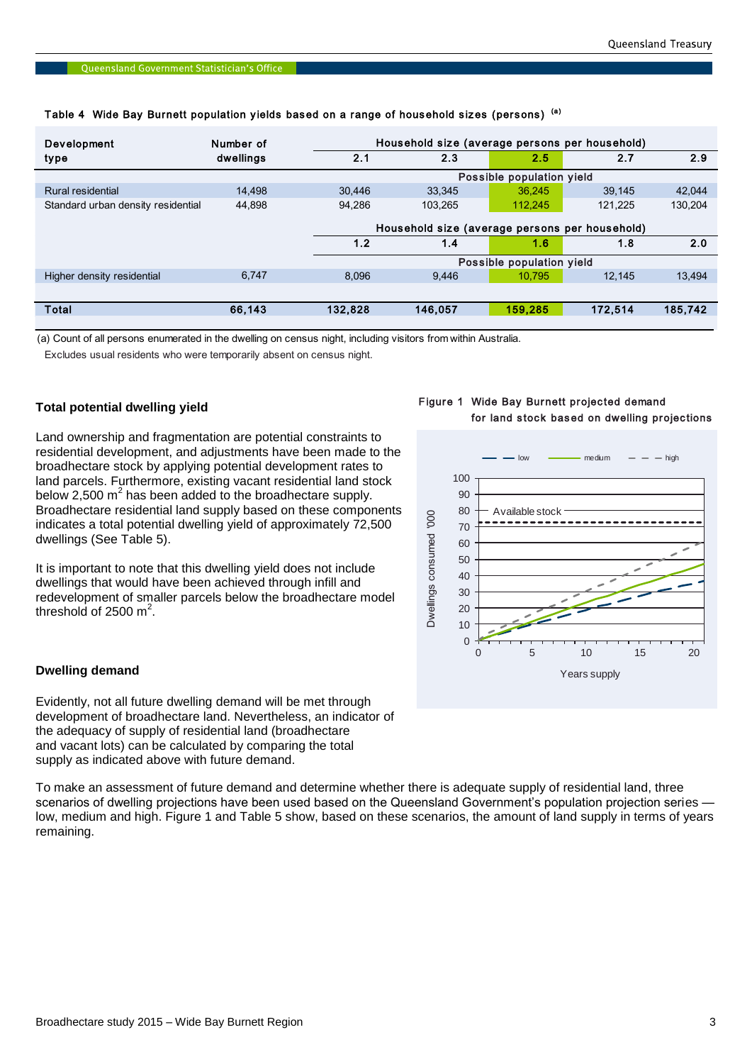| <b>Development</b>                 | Number of |                           | Household size (average persons per household) |                           |         |         |  |  |
|------------------------------------|-----------|---------------------------|------------------------------------------------|---------------------------|---------|---------|--|--|
| type                               | dwellings | 2.1                       | 2.3                                            | 2.5                       | 2.7     | 2.9     |  |  |
|                                    |           |                           |                                                | Possible population yield |         |         |  |  |
| Rural residential                  | 14.498    | 30,446                    | 33.345                                         | 36.245                    | 39,145  | 42,044  |  |  |
| Standard urban density residential | 44.898    | 94.286                    | 103.265                                        | 112.245                   | 121,225 | 130,204 |  |  |
|                                    |           |                           | Household size (average persons per household) |                           |         |         |  |  |
|                                    |           | 1.2                       | 1.4                                            | 1.6                       | 1.8     | 2.0     |  |  |
|                                    |           | Possible population yield |                                                |                           |         |         |  |  |
| Higher density residential         | 6.747     | 8.096                     | 9.446                                          | 10.795                    | 12.145  | 13,494  |  |  |
|                                    |           |                           |                                                |                           |         |         |  |  |
| Total                              | 66,143    | 132.828                   | 146,057                                        | 159.285                   | 172,514 | 185,742 |  |  |

# Queensland Government Statistician's Office<br>Table 4 Wide Bay Burnett population yields based on a range of household sizes (persons) (a)

(a) Count of all persons enumerated in the dwelling on census night, including visitors from within Australia.

Excludes usual residents who were temporarily absent on census night.

# **Total potential dwelling yield**

Land ownership and fragmentation are potential constraints to residential development, and adjustments have been made to the broadhectare stock by applying potential development rates to land parcels. Furthermore, existing vacant residential land stock below 2,500  $m^2$  has been added to the broadhectare supply. Broadhectare residential land supply based on these components indicates a total potential dwelling yield of approximately 72,500 dwellings (See Table 5).

It is important to note that this dwelling yield does not include dwellings that would have been achieved through infill and redevelopment of smaller parcels below the broadhectare model threshold of 2500  $m^2$ .

# **Dwelling demand**

Evidently, not all future dwelling demand will be met through development of broadhectare land. Nevertheless, an indicator of the adequacy of supply of residential land (broadhectare and vacant lots) can be calculated by comparing the total supply as indicated above with future demand.

To make an assessment of future demand and determine whether there is adequate supply of residential land, three scenarios of dwelling projections have been used based on the Queensland Government's population projection series low, medium and high. Figure 1 and Table 5 show, based on these scenarios, the amount of land supply in terms of years remaining.

# Figure 1 Wide Bay Burnett projected demand for land stock based on dwelling projections

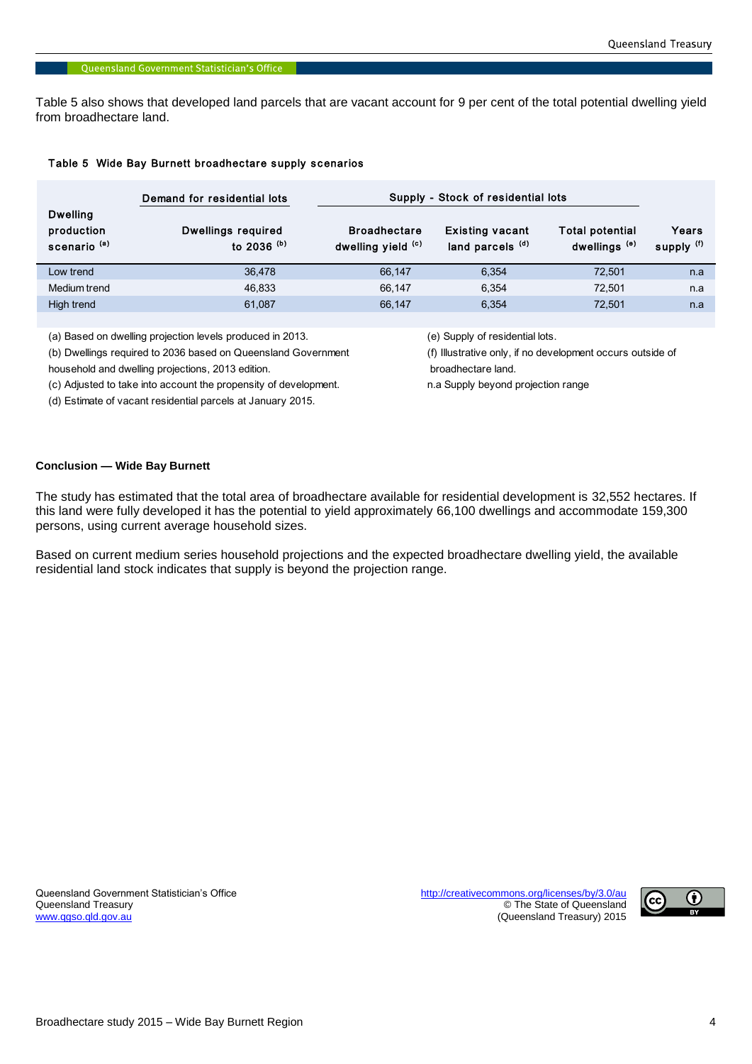Table 5 also shows that developed land parcels that are vacant account for 9 per cent of the total potential dwelling yield from broadhectare land.

#### Table 5 Wide Bay Burnett broadhectare supply scenarios

|                                                          | Demand for residential lots         | Supply - Stock of residential lots        |                                                       |                                                    |                     |
|----------------------------------------------------------|-------------------------------------|-------------------------------------------|-------------------------------------------------------|----------------------------------------------------|---------------------|
| <b>Dwelling</b><br>production<br>scenario <sup>(a)</sup> | Dwellings required<br>to 2036 $(b)$ | <b>Broadhectare</b><br>dwelling yield (c) | <b>Existing vacant</b><br>land parcels <sup>(d)</sup> | <b>Total potential</b><br>dwellings <sup>(e)</sup> | Years<br>supply (f) |
| Low trend                                                | 36,478                              | 66.147                                    | 6.354                                                 | 72.501                                             | n.a                 |
| Medium trend                                             | 46,833                              | 66.147                                    | 6.354                                                 | 72.501                                             | n.a                 |
| High trend                                               | 61.087                              | 66,147                                    | 6.354                                                 | 72,501                                             | n.a                 |

(a) Based on dwelling projection levels produced in 2013. (e) Supply of residential lots.

household and dwelling projections, 2013 edition. broadhectare land.

(c) Adjusted to take into account the propensity of development. The mass of a Supply beyond projection range

(d) Estimate of vacant residential parcels at January 2015.

(b) Dwellings required to 2036 based on Queensland Government (f) Illustrative only, if no development occurs outside of

# **Conclusion — Wide Bay Burnett**

The study has estimated that the total area of broadhectare available for residential development is 32,552 hectares. If this land were fully developed it has the potential to yield approximately 66,100 dwellings and accommodate 159,300 persons, using current average household sizes.

Based on current medium series household projections and the expected broadhectare dwelling yield, the available residential land stock indicates that supply is beyond the projection range.

Queensland Government Statistician's Office <http://creativecommons.org/licenses/by/3.0/au><br>Queensland Treasury exercise http://creativecommons.org/licenses/by/3.0/au © The State of Queensland [www.qgso.qld.gov.au](http://www.qgso.qld.gov.au/) (Queensland Treasury) 2015